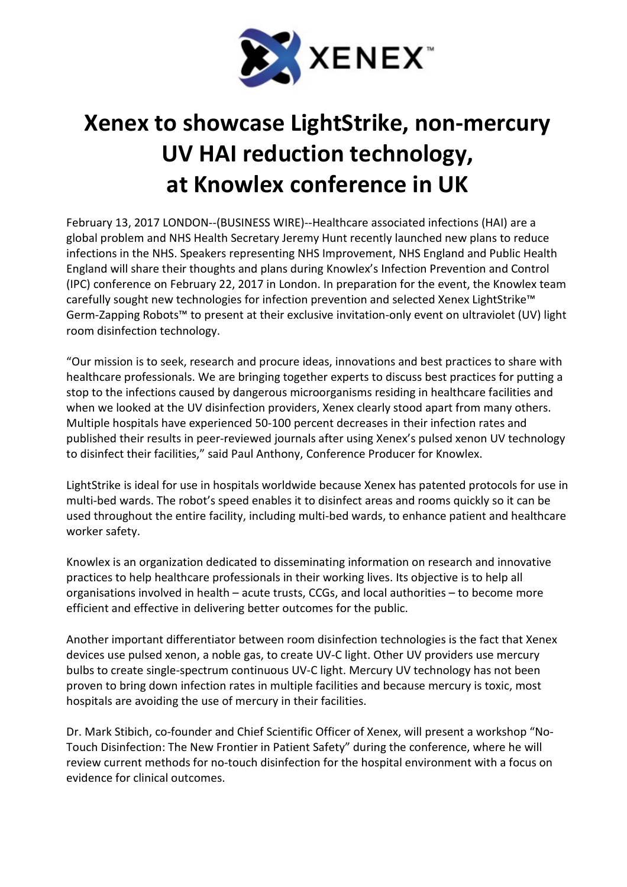

## Xenex to showcase LightStrike, non-mercury UV HAI reduction technology, at Knowlex conference in UK

February 13, 2017 LONDON--(BUSINESS WIRE)--Healthcare associated infections (HAI) are a global problem and NHS Health Secretary Jeremy Hunt recently launched new plans to reduce infections in the NHS. Speakers representing NHS Improvement, NHS England and Public Health England will share their thoughts and plans during Knowlex's Infection Prevention and Control (IPC) conference on February 22, 2017 in London. In preparation for the event, the Knowlex team carefully sought new technologies for infection prevention and selected Xenex LightStrike™ Germ-Zapping Robots™ to present at their exclusive invitation-only event on ultraviolet (UV) light room disinfection technology.

"Our mission is to seek, research and procure ideas, innovations and best practices to share with healthcare professionals. We are bringing together experts to discuss best practices for putting a stop to the infections caused by dangerous microorganisms residing in healthcare facilities and when we looked at the UV disinfection providers, Xenex clearly stood apart from many others. Multiple hospitals have experienced 50-100 percent decreases in their infection rates and published their results in peer-reviewed journals after using Xenex's pulsed xenon UV technology to disinfect their facilities," said Paul Anthony, Conference Producer for Knowlex.

LightStrike is ideal for use in hospitals worldwide because Xenex has patented protocols for use in multi-bed wards. The robot's speed enables it to disinfect areas and rooms quickly so it can be used throughout the entire facility, including multi-bed wards, to enhance patient and healthcare worker safety.

Knowlex is an organization dedicated to disseminating information on research and innovative practices to help healthcare professionals in their working lives. Its objective is to help all organisations involved in health – acute trusts, CCGs, and local authorities – to become more efficient and effective in delivering better outcomes for the public.

Another important differentiator between room disinfection technologies is the fact that Xenex devices use pulsed xenon, a noble gas, to create UV-C light. Other UV providers use mercury bulbs to create single-spectrum continuous UV-C light. Mercury UV technology has not been proven to bring down infection rates in multiple facilities and because mercury is toxic, most hospitals are avoiding the use of mercury in their facilities.

Dr. Mark Stibich, co-founder and Chief Scientific Officer of Xenex, will present a workshop "No-Touch Disinfection: The New Frontier in Patient Safety" during the conference, where he will review current methods for no-touch disinfection for the hospital environment with a focus on evidence for clinical outcomes.